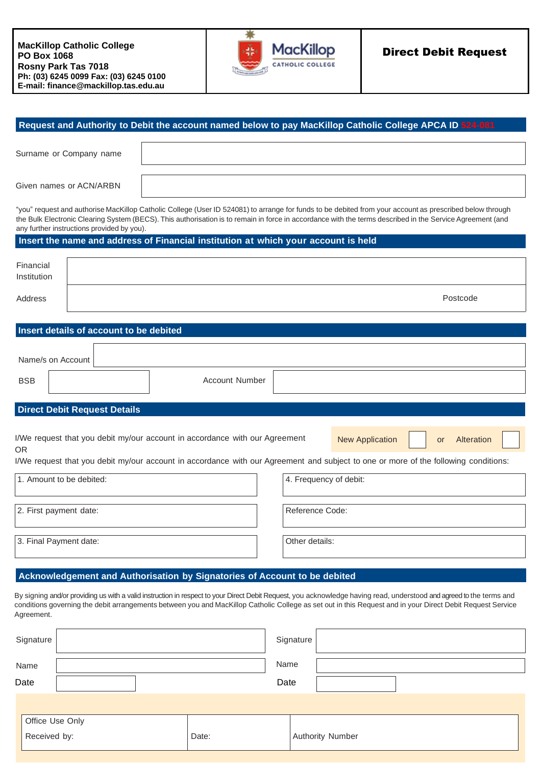

|                          | Surname or Company name             |                                            |                                                                                                                                                                                                                                                                                                                                    |                        |                        |           |            |
|--------------------------|-------------------------------------|--------------------------------------------|------------------------------------------------------------------------------------------------------------------------------------------------------------------------------------------------------------------------------------------------------------------------------------------------------------------------------------|------------------------|------------------------|-----------|------------|
|                          |                                     |                                            |                                                                                                                                                                                                                                                                                                                                    |                        |                        |           |            |
|                          | Given names or ACN/ARBN             |                                            |                                                                                                                                                                                                                                                                                                                                    |                        |                        |           |            |
|                          |                                     | any further instructions provided by you). | "you" request and authorise MacKillop Catholic College (User ID 524081) to arrange for funds to be debited from your account as prescribed below through<br>the Bulk Electronic Clearing System (BECS). This authorisation is to remain in force in accordance with the terms described in the Service Agreement (and              |                        |                        |           |            |
|                          |                                     |                                            | Insert the name and address of Financial institution at which your account is held                                                                                                                                                                                                                                                 |                        |                        |           |            |
| Financial<br>Institution |                                     |                                            |                                                                                                                                                                                                                                                                                                                                    |                        |                        |           |            |
| Address                  |                                     |                                            |                                                                                                                                                                                                                                                                                                                                    |                        |                        |           | Postcode   |
|                          |                                     | Insert details of account to be debited    |                                                                                                                                                                                                                                                                                                                                    |                        |                        |           |            |
|                          |                                     |                                            |                                                                                                                                                                                                                                                                                                                                    |                        |                        |           |            |
| Name/s on Account        |                                     |                                            |                                                                                                                                                                                                                                                                                                                                    |                        |                        |           |            |
|                          |                                     |                                            |                                                                                                                                                                                                                                                                                                                                    |                        |                        |           |            |
|                          |                                     |                                            | Account Number                                                                                                                                                                                                                                                                                                                     |                        |                        |           |            |
| <b>BSB</b>               |                                     |                                            |                                                                                                                                                                                                                                                                                                                                    |                        |                        |           |            |
|                          | <b>Direct Debit Request Details</b> |                                            |                                                                                                                                                                                                                                                                                                                                    |                        |                        |           |            |
| <b>OR</b>                |                                     |                                            | I/We request that you debit my/our account in accordance with our Agreement                                                                                                                                                                                                                                                        |                        | <b>New Application</b> | <b>or</b> | Alteration |
|                          |                                     |                                            | I/We request that you debit my/our account in accordance with our Agreement and subject to one or more of the following conditions:                                                                                                                                                                                                |                        |                        |           |            |
|                          | 1. Amount to be debited:            |                                            |                                                                                                                                                                                                                                                                                                                                    | 4. Frequency of debit: |                        |           |            |
|                          | 2. First payment date:              |                                            |                                                                                                                                                                                                                                                                                                                                    | Reference Code:        |                        |           |            |
|                          | 3. Final Payment date:              |                                            |                                                                                                                                                                                                                                                                                                                                    | Other details:         |                        |           |            |
|                          |                                     |                                            |                                                                                                                                                                                                                                                                                                                                    |                        |                        |           |            |
|                          |                                     |                                            | Acknowledgement and Authorisation by Signatories of Account to be debited                                                                                                                                                                                                                                                          |                        |                        |           |            |
| Agreement.               |                                     |                                            | By signing and/or providing us with a valid instruction in respect to your Direct Debit Request, you acknowledge having read, understood and agreed to the terms and<br>conditions governing the debit arrangements between you and MacKillop Catholic College as set out in this Request and in your Direct Debit Request Service |                        |                        |           |            |
| Signature                |                                     |                                            |                                                                                                                                                                                                                                                                                                                                    | Signature              |                        |           |            |
| Name                     |                                     |                                            |                                                                                                                                                                                                                                                                                                                                    | Name                   |                        |           |            |

Received by: Date: Authority Number